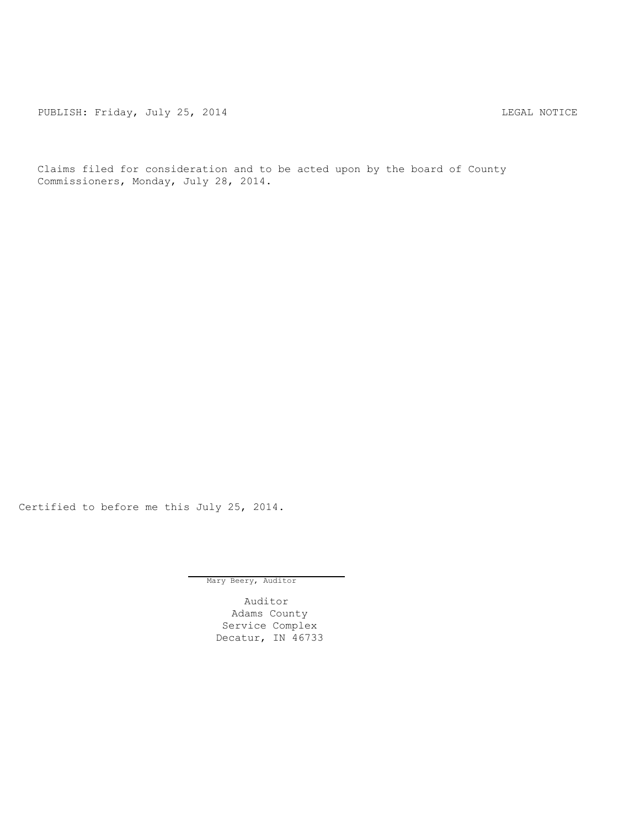PUBLISH: Friday, July 25, 2014 CHARL SECTION CONTROL REGAL NOTICE

Claims filed for consideration and to be acted upon by the board of County Commissioners, Monday, July 28, 2014.

Certified to before me this July 25, 2014.

Mary Beery, Auditor

Auditor Adams County Service Complex Decatur, IN 46733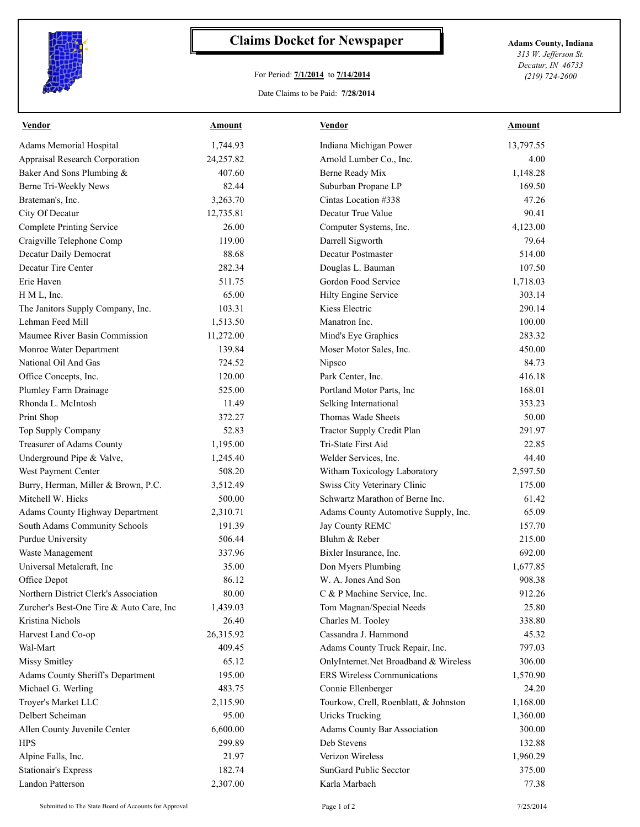

## **Claims Docket for Newspaper Adams County, Indiana**

## For Period: **7/1/2014** to **7/14/2014**

Date Claims to be Paid: **7/28/2014**

*313 W. Jefferson St. Decatur, IN 46733 (219) 724-2600*

| <b>Vendor</b>                            | Amount    | <b>Vendor</b>                         | Amount    |
|------------------------------------------|-----------|---------------------------------------|-----------|
| <b>Adams Memorial Hospital</b>           | 1,744.93  | Indiana Michigan Power                | 13,797.55 |
| <b>Appraisal Research Corporation</b>    | 24,257.82 | Arnold Lumber Co., Inc.               | 4.00      |
| Baker And Sons Plumbing &                | 407.60    | Berne Ready Mix                       | 1,148.28  |
| Berne Tri-Weekly News                    | 82.44     | Suburban Propane LP                   | 169.50    |
| Brateman's, Inc.                         | 3,263.70  | Cintas Location #338                  | 47.26     |
| City Of Decatur                          | 12,735.81 | Decatur True Value                    | 90.41     |
| <b>Complete Printing Service</b>         | 26.00     | Computer Systems, Inc.                | 4,123.00  |
| Craigville Telephone Comp                | 119.00    | Darrell Sigworth                      | 79.64     |
| Decatur Daily Democrat                   | 88.68     | Decatur Postmaster                    | 514.00    |
| Decatur Tire Center                      | 282.34    | Douglas L. Bauman                     | 107.50    |
| Erie Haven                               | 511.75    | Gordon Food Service                   | 1,718.03  |
| H M L, Inc.                              | 65.00     | Hilty Engine Service                  | 303.14    |
| The Janitors Supply Company, Inc.        | 103.31    | Kiess Electric                        | 290.14    |
| Lehman Feed Mill                         | 1,513.50  | Manatron Inc.                         | 100.00    |
| Maumee River Basin Commission            | 11,272.00 | Mind's Eye Graphics                   | 283.32    |
| Monroe Water Department                  | 139.84    | Moser Motor Sales, Inc.               | 450.00    |
| National Oil And Gas                     | 724.52    | Nipsco                                | 84.73     |
| Office Concepts, Inc.                    | 120.00    | Park Center, Inc.                     | 416.18    |
| Plumley Farm Drainage                    | 525.00    | Portland Motor Parts, Inc             | 168.01    |
| Rhonda L. McIntosh                       | 11.49     | Selking International                 | 353.23    |
| Print Shop                               | 372.27    | Thomas Wade Sheets                    | 50.00     |
| Top Supply Company                       | 52.83     | Tractor Supply Credit Plan            | 291.97    |
| <b>Treasurer of Adams County</b>         | 1,195.00  | Tri-State First Aid                   | 22.85     |
| Underground Pipe & Valve,                | 1,245.40  | Welder Services, Inc.                 | 44.40     |
| West Payment Center                      | 508.20    | Witham Toxicology Laboratory          | 2,597.50  |
| Burry, Herman, Miller & Brown, P.C.      | 3,512.49  | Swiss City Veterinary Clinic          | 175.00    |
| Mitchell W. Hicks                        | 500.00    | Schwartz Marathon of Berne Inc.       | 61.42     |
| <b>Adams County Highway Department</b>   | 2,310.71  | Adams County Automotive Supply, Inc.  | 65.09     |
| South Adams Community Schools            | 191.39    | Jay County REMC                       | 157.70    |
| Purdue University                        | 506.44    | Bluhm & Reber                         | 215.00    |
| Waste Management                         | 337.96    | Bixler Insurance, Inc.                | 692.00    |
| Universal Metalcraft, Inc                | 35.00     | Don Myers Plumbing                    | 1,677.85  |
| Office Depot                             | 86.12     | W. A. Jones And Son                   | 908.38    |
| Northern District Clerk's Association    | 80.00     | C & P Machine Service, Inc.           | 912.26    |
| Zurcher's Best-One Tire & Auto Care, Inc | 1,439.03  | Tom Magnan/Special Needs              | 25.80     |
| Kristina Nichols                         | 26.40     | Charles M. Tooley                     | 338.80    |
| Harvest Land Co-op                       | 26,315.92 | Cassandra J. Hammond                  | 45.32     |
| Wal-Mart                                 | 409.45    | Adams County Truck Repair, Inc.       | 797.03    |
| <b>Missy Smitley</b>                     | 65.12     | OnlyInternet.Net Broadband & Wireless | 306.00    |
| <b>Adams County Sheriff's Department</b> | 195.00    | <b>ERS Wireless Communications</b>    | 1,570.90  |
| Michael G. Werling                       | 483.75    | Connie Ellenberger                    | 24.20     |
| Troyer's Market LLC                      | 2,115.90  | Tourkow, Crell, Roenblatt, & Johnston | 1,168.00  |
| Delbert Scheiman                         | 95.00     | <b>Uricks Trucking</b>                | 1,360.00  |
| Allen County Juvenile Center             | 6,600.00  | Adams County Bar Association          | 300.00    |
| <b>HPS</b>                               | 299.89    | Deb Stevens                           | 132.88    |
| Alpine Falls, Inc.                       | 21.97     | Verizon Wireless                      | 1,960.29  |
| <b>Stationair's Express</b>              | 182.74    | SunGard Public Secctor                | 375.00    |
| Landon Patterson                         | 2,307.00  | Karla Marbach                         | 77.38     |